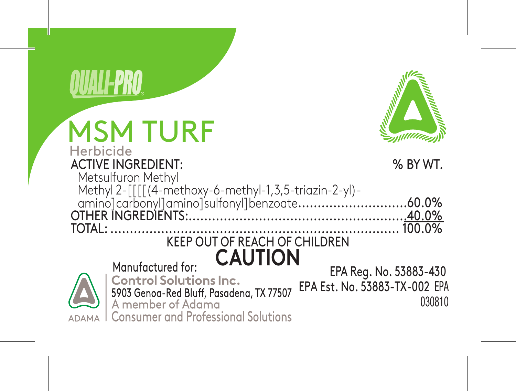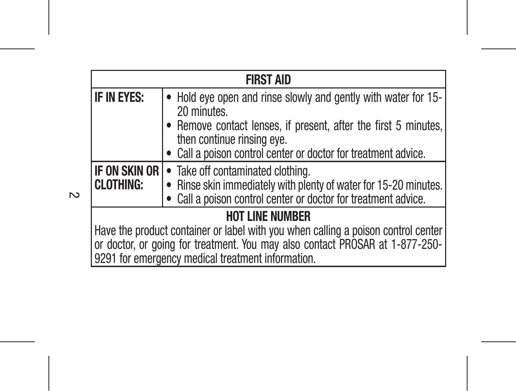| <b>FIRST AID</b>                                                                                                                                                                                                                                 |                                                                                                                                                                                                                                                |  |  |  |  |
|--------------------------------------------------------------------------------------------------------------------------------------------------------------------------------------------------------------------------------------------------|------------------------------------------------------------------------------------------------------------------------------------------------------------------------------------------------------------------------------------------------|--|--|--|--|
| IF IN EYES:                                                                                                                                                                                                                                      | Hold eye open and rinse slowly and gently with water for 15-<br>20 minutes.<br>• Remove contact lenses, if present, after the first 5 minutes,<br>then continue rinsing eye.<br>• Call a poison control center or doctor for treatment advice. |  |  |  |  |
| <b>IF ON SKIN OR   •</b> Take off contaminated clothing.<br><b>CLOTHING:</b><br>• Rinse skin immediately with plenty of water for 15-20 minutes.<br>• Call a poison control center or doctor for treatment advice.                               |                                                                                                                                                                                                                                                |  |  |  |  |
| <b>HOT LINE NUMBER</b><br>Have the product container or label with you when calling a poison control center<br>or doctor, or going for treatment. You may also contact PROSAR at 1-877-250-<br>9291 for emergency medical treatment information. |                                                                                                                                                                                                                                                |  |  |  |  |

 $\frac{1}{2}$ 

 $\sim$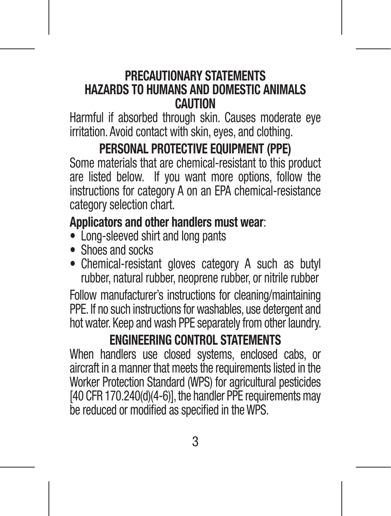### **PRECAUTIONARY STATEMENTS HAZARDS TO HUMANS AND DOMESTIC ANIMALS CAUTION**

Harmful if absorbed through skin. Causes moderate eye irritation. Avoid contact with skin, eyes, and clothing.

#### **PERSONAL PROTECTIVE EQUIPMENT (PPE)**

Some materials that are chemical-resistant to this product are listed below. If you want more options, follow the instructions for category A on an EPA chemical-resistance category selection chart.

#### **Applicators and other handlers must wear**:

- Long-sleeved shirt and long pants
- Shoes and socks
- Chemical-resistant gloves category A such as butyl rubber, natural rubber, neoprene rubber, or nitrile rubber

Follow manufacturer's instructions for cleaning/maintaining PPE. If no such instructions for washables, use detergent and hot water. Keep and wash PPE separately from other laundry.

### **ENGINEERING CONTROL STATEMENTS**

When handlers use closed systems, enclosed cabs, or aircraft in a manner that meets the requirements listed in the Worker Protection Standard (WPS) for agricultural pesticides [40 CFR 170.240(d)(4-6)], the handler PPE requirements may be reduced or modified as specified in the WPS.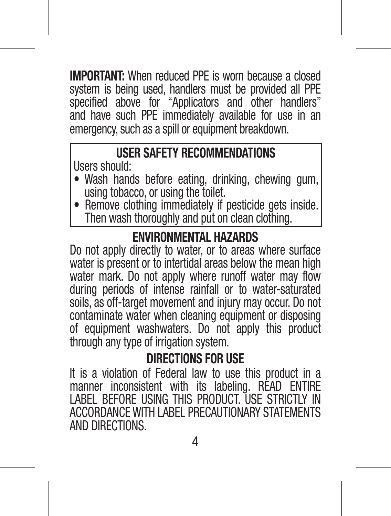**IMPORTANT:** When reduced PPE is worn because a closed system is being used, handlers must be provided all PPE specified above for "Applicators and other handlers" and have such PPE immediately available for use in an emergency, such as a spill or equipment breakdown.

### **USER SAFETY RECOMMENDATIONS**

Users should:

- Wash hands before eating, drinking, chewing gum, using tobacco, or using the toilet.
- Remove clothing immediately if pesticide gets inside. Then wash thoroughly and put on clean clothing.

### **ENVIRONMENTAL HAZARDS**

Do not apply directly to water, or to areas where surface water is present or to intertidal areas below the mean high water mark. Do not apply where runoff water may flow during periods of intense rainfall or to water-saturated soils, as off-target movement and injury may occur. Do not contaminate water when cleaning equipment or disposing of equipment washwaters. Do not apply this product through any type of irrigation system.

### **DIRECTIONS FOR USE**

It is a violation of Federal law to use this product in a manner inconsistent with its labeling. READ ENTIRE LABEL BEFORE USING THIS PRODUCT USE STRICTLY IN ACCORDANCE WITH LABEL PRECAUTIONARY STATEMENTS AND DIRECTIONS.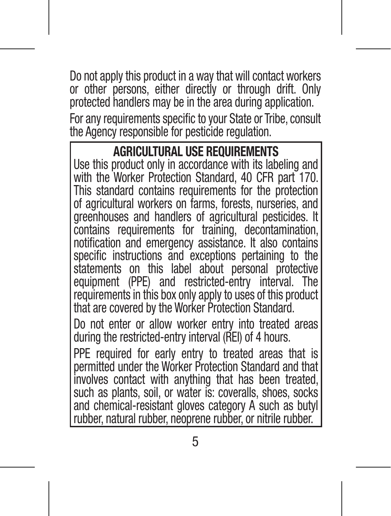Do not apply this product in a way that will contact workers or other persons, either directly or through drift. Only protected handlers may be in the area during application.

For any requirements specific to your State or Tribe, consult the Agency responsible for pesticide regulation.

#### **AGRICULTURAL USE REQUIREMENTS**

Use this product only in accordance with its labeling and with the Worker Protection Standard, 40 CFR part 170. This standard contains requirements for the protection of agricultural workers on farms, forests, nurseries, and greenhouses and handlers of agricultural pesticides. It contains requirements for training, decontamination, notification and emergency assistance. It also contains specific instructions and exceptions pertaining to the statements on this label about personal protective equipment (PPE) and restricted-entry interval. The requirements in this box only apply to uses of this product that are covered by the Worker Protection Standard.

Do not enter or allow worker entry into treated areas during the restricted-entry interval (REI) of 4 hours.

PPE required for early entry to treated areas that is permitted under the Worker Protection Standard and that involves contact with anything that has been treated, such as plants, soil, or water is: coveralls, shoes, socks and chemical-resistant gloves category A such as butyl rubber, natural rubber, neoprene rubber, or nitrile rubber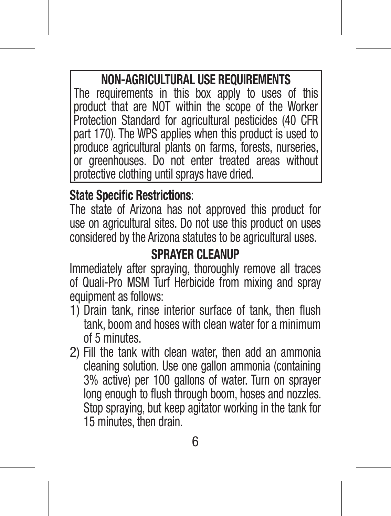**NON-AGRICULTURAL USE REQUIREMENTS**

The requirements in this box apply to uses of this product that are NOT within the scope of the Worker Protection Standard for agricultural pesticides (40 CFR part 170). The WPS applies when this product is used to produce agricultural plants on farms, forests, nurseries, or greenhouses. Do not enter treated areas without protective clothing until sprays have dried.

#### **State Specific Restrictions**:

The state of Arizona has not approved this product for use on agricultural sites. Do not use this product on uses considered by the Arizona statutes to be agricultural uses.

### **SPRAYER CLEANUP**

Immediately after spraying, thoroughly remove all traces of Quali-Pro MSM Turf Herbicide from mixing and spray equipment as follows:

- 1) Drain tank, rinse interior surface of tank, then flush tank, boom and hoses with clean water for a minimum of 5 minutes.
- 2) Fill the tank with clean water, then add an ammonia cleaning solution. Use one gallon ammonia (containing 3% active) per 100 gallons of water. Turn on sprayer long enough to flush through boom, hoses and nozzles. Stop spraying, but keep agitator working in the tank for 15 minutes, then drain.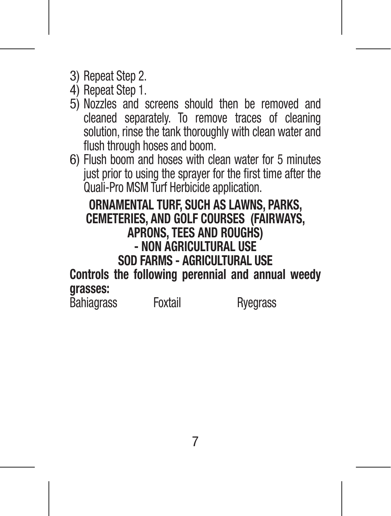- 3) Repeat Step 2.
- 4) Repeat Step 1.
- 5) Nozzles and screens should then be removed and cleaned separately. To remove traces of cleaning solution, rinse the tank thoroughly with clean water and flush through hoses and boom.
- 6) Flush boom and hoses with clean water for 5 minutes just prior to using the sprayer for the first time after the Quali-Pro MSM Turf Herbicide application.

**ORNAMENTAL TURF, SUCH AS LAWNS, PARKS, CEMETERIES, AND GOLF COURSES (FAIRWAYS, APRONS, TEES AND ROUGHS) - NON AGRICULTURAL USE SOD FARMS - AGRICULTURAL USE**

**Controls the following perennial and annual weedy grasses:**

Bahiagrass Foxtail Ryegrass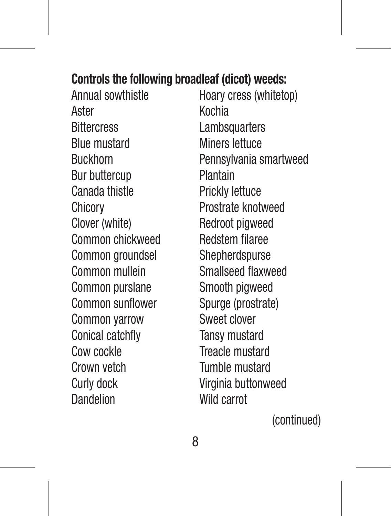### **Controls the following broadleaf (dicot) weeds:**

Aster Kochia Bittercress Lambsquarters Blue mustard Miners lettuce Bur buttercup **Plantain** Canada thistle Prickly lettuce Chicory Prostrate knotweed Clover (white) Redroot pigweed Common chickweed Redstem filaree Common groundsel Shepherdspurse Common mullein Smallseed flaxweed Common purslane Smooth pigweed Common sunflower Spurge (prostrate) Common yarrow Sweet clover Conical catchfly Tansy mustard Cow cockle Treacle mustard Crown vetch Tumble mustard Curly dock Virginia buttonweed Dandelion Wild carrot

Annual sowthistle Hoary cress (whitetop) Buckhorn Pennsylvania smartweed

(continued)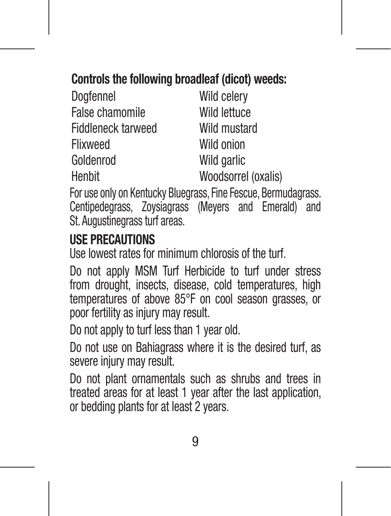### **Controls the following broadleaf (dicot) weeds:**

| Doafennel          | Wild celerv         |
|--------------------|---------------------|
| False chamomile    | Wild lettuce        |
| Fiddleneck tarweed | Wild mustard        |
| Flixweed           | Wild onion          |
| Goldenrod          | Wild garlic         |
| Henbit             | Woodsorrel (oxalis) |

For use only on Kentucky Bluegrass, Fine Fescue, Bermudagrass. Centipedegrass, Zoysiagrass (Meyers and Emerald) and St. Augustinegrass turf areas.

### **USE PRECAUTIONS**

Use lowest rates for minimum chlorosis of the turf.

Do not apply MSM Turf Herbicide to turf under stress from drought, insects, disease, cold temperatures, high temperatures of above 85°F on cool season grasses, or poor fertility as injury may result.

Do not apply to turf less than 1 year old.

Do not use on Bahiagrass where it is the desired turf, as severe injury may result.

Do not plant ornamentals such as shrubs and trees in treated areas for at least 1 year after the last application, or bedding plants for at least 2 years.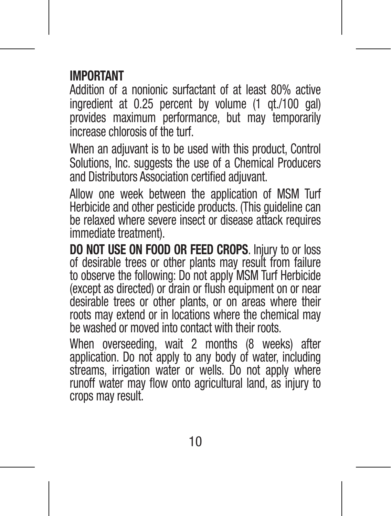### **IMPORTANT**

Addition of a nonionic surfactant of at least 80% active ingredient at 0.25 percent by volume (1 qt./100 gal) provides maximum performance, but may temporarily increase chlorosis of the turf.

When an adjuvant is to be used with this product, Control Solutions, Inc. suggests the use of a Chemical Producers and Distributors Association certified adjuvant.

Allow one week between the application of MSM Turf Herbicide and other pesticide products. (This guideline can be relaxed where severe insect or disease attack requires immediate treatment).

**DO NOT USE ON FOOD OR FEED CROPS**. Injury to or loss of desirable trees or other plants may result from failure to observe the following: Do not apply MSM Turf Herbicide (except as directed) or drain or flush equipment on or near desirable trees or other plants, or on areas where their roots may extend or in locations where the chemical may be washed or moved into contact with their roots.

When overseeding, wait 2 months (8 weeks) after application. Do not apply to any body of water, including streams, irrigation water or wells. Do not apply where runoff water may flow onto agricultural land, as injury to crops may result.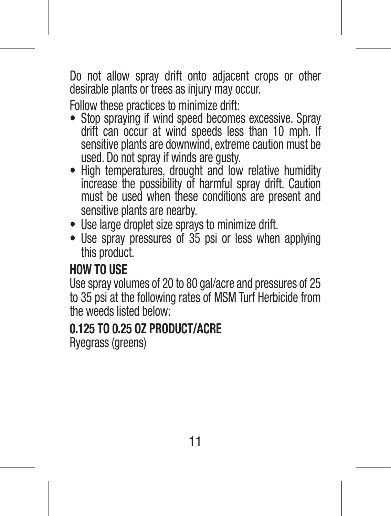Do not allow spray drift onto adjacent crops or other desirable plants or trees as injury may occur.

Follow these practices to minimize drift:

- Stop spraying if wind speed becomes excessive. Spray drift can occur at wind speeds less than 10 mph. If sensitive plants are downwind, extreme caution must be used. Do not spray if winds are gusty.
- High temperatures, drought and low relative humidity increase the possibility of harmful spray drift. Caution must be used when these conditions are present and sensitive plants are nearby.
- Use large droplet size sprays to minimize drift.
- Use spray pressures of 35 psi or less when applying this product.

### **HOW TO USE**

Use spray volumes of 20 to 80 gal/acre and pressures of 25 to 35 psi at the following rates of MSM Turf Herbicide from the weeds listed below:

### **0.125 TO 0.25 OZ PRODUCT/ACRE**

Ryegrass (greens)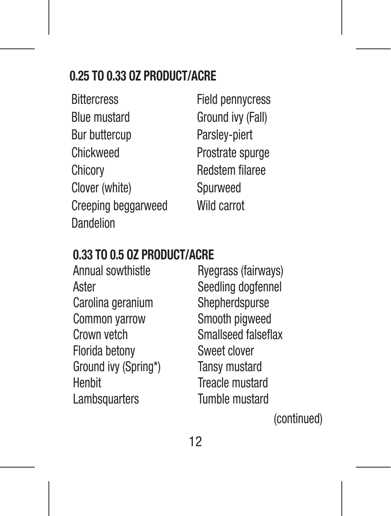### **0.25 TO 0.33 OZ PRODUCT/ACRE**

| <b>Bittercress</b>  | <b>Field pennycress</b> |
|---------------------|-------------------------|
| <b>Blue mustard</b> | Ground ivy (Fall)       |
| Bur buttercup       | Parslev-piert           |
| Chickweed           | Prostrate spurge        |
| Chicory             | Redstem filaree         |
| Clover (white)      | Spurweed                |
| Creeping beggarweed | Wild carrot             |
| Dandelion           |                         |

# **0.33 TO 0.5 OZ PRODUCT/ACRE**

- Aster Seedling dogfennel<br>Carolina geranium Shepherdspurse Carolina geranium Common yarrow Smooth pigweed Crown vetch Smallseed falseflax Florida betony Sweet clover Ground ivy (Spring\*) Tansy mustard<br>Henbit Treacle mustar Lambsquarters
- Ryegrass (fairways) Treacle mustard<br>Tumble mustard

(continued)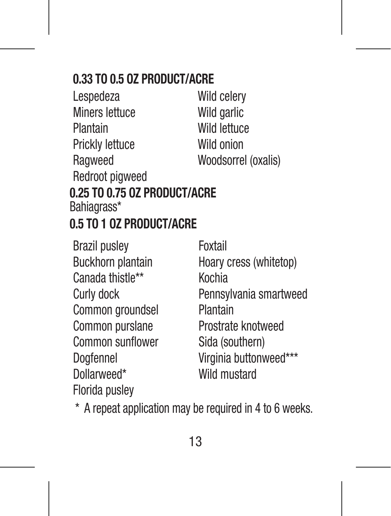### **0.33 TO 0.5 OZ PRODUCT/ACRE**

| Lespedeza                    | Wild celery         |
|------------------------------|---------------------|
| <b>Miners lettuce</b>        | Wild garlic         |
| Plantain                     | Wild lettuce        |
| Prickly lettuce              | Wild onion          |
| Ragweed                      | Woodsorrel (oxalis) |
| Redroot piaweed              |                     |
| 0.25 TO 0.75 OZ PRODUCT/ACRE |                     |
| Bahiagrass*                  |                     |
| 0.5 TO 1.07 PRODUCT/ACRE     |                     |

Brazil pusley Foxtail Canada thistle\*\* Common groundsel Plantain Common purslane Prostrate knotweed Common sunflower Sida (southern) Dollarweed\* Wild mustard Florida pusley

Buckhorn plantain Hoary cress (whitetop)<br>Canada thistle\*\* Kochia Curly dock Pennsylvania smartweed Dogfennel Virginia buttonweed\*\*\*

\* A repeat application may be required in 4 to 6 weeks.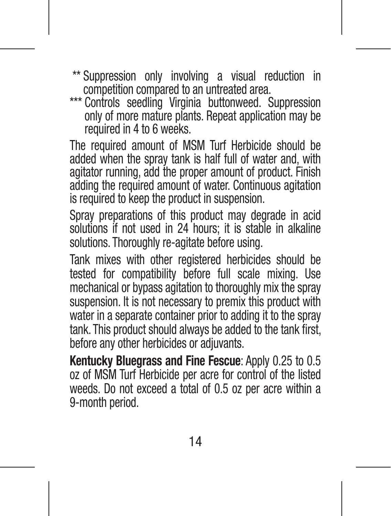- \*\* Suppression only involving a visual reduction in competition compared to an untreated area.
- \*\*\* Controls seedling Virginia buttonweed. Suppression only of more mature plants. Repeat application may be required in 4 to 6 weeks.

The required amount of MSM Turf Herbicide should be added when the spray tank is half full of water and, with agitator running, add the proper amount of product. Finish adding the required amount of water. Continuous agitation is required to keep the product in suspension.

Spray preparations of this product may degrade in acid solutions if not used in 24 hours; it is stable in alkaline solutions. Thoroughly re-agitate before using.

Tank mixes with other registered herbicides should be tested for compatibility before full scale mixing. Use mechanical or bypass agitation to thoroughly mix the spray suspension. It is not necessary to premix this product with water in a separate container prior to adding it to the spray tank. This product should always be added to the tank first, before any other herbicides or adjuvants.

**Kentucky Bluegrass and Fine Fescue**: Apply 0.25 to 0.5 oz of MSM Turf Herbicide per acre for control of the listed weeds. Do not exceed a total of 0.5 oz per acre within a 9-month period.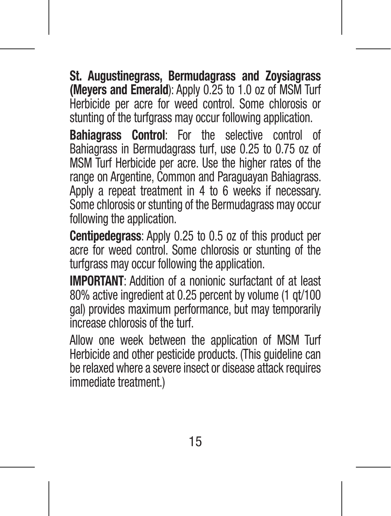**St. Augustinegrass, Bermudagrass and Zoysiagrass (Meyers and Emerald**): Apply 0.25 to 1.0 oz of MSM Turf Herbicide per acre for weed control. Some chlorosis or stunting of the turfgrass may occur following application.

**Bahiagrass Control**: For the selective control of Bahiagrass in Bermudagrass turf, use 0.25 to 0.75 oz of MSM Turf Herbicide per acre. Use the higher rates of the range on Argentine, Common and Paraguayan Bahiagrass. Apply a repeat treatment in 4 to 6 weeks if necessary. Some chlorosis or stunting of the Bermudagrass may occur following the application.

**Centipedegrass**: Apply 0.25 to 0.5 oz of this product per acre for weed control. Some chlorosis or stunting of the turfgrass may occur following the application.

**IMPORTANT**: Addition of a nonionic surfactant of at least 80% active ingredient at 0.25 percent by volume (1 qt/100 gal) provides maximum performance, but may temporarily increase chlorosis of the turf.

Allow one week between the application of MSM Turf Herbicide and other pesticide products. (This guideline can be relaxed where a severe insect or disease attack requires immediate treatment.)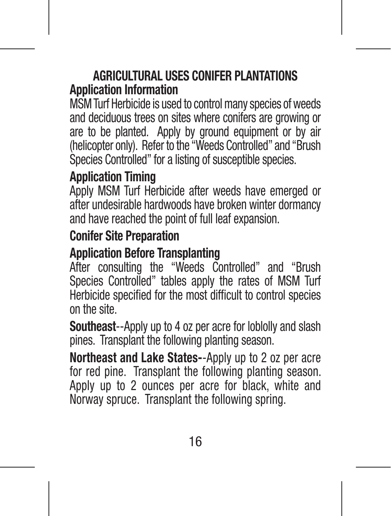**AGRICULTURAL USES CONIFER PLANTATIONS Application Information**

MSM Turf Herbicide is used to control many species of weeds and deciduous trees on sites where conifers are growing or are to be planted. Apply by ground equipment or by air (helicopter only). Refer to the "Weeds Controlled" and "Brush Species Controlled" for a listing of susceptible species.

#### **Application Timing**

Apply MSM Turf Herbicide after weeds have emerged or after undesirable hardwoods have broken winter dormancy and have reached the point of full leaf expansion.

### **Conifer Site Preparation**

### **Application Before Transplanting**

After consulting the "Weeds Controlled" and "Brush Species Controlled" tables apply the rates of MSM Turf Herbicide specified for the most difficult to control species on the site.

**Southeast**--Apply up to 4 oz per acre for loblolly and slash pines. Transplant the following planting season.

**Northeast and Lake States-**-Apply up to 2 oz per acre for red pine. Transplant the following planting season. Apply up to 2 ounces per acre for black, white and Norway spruce. Transplant the following spring.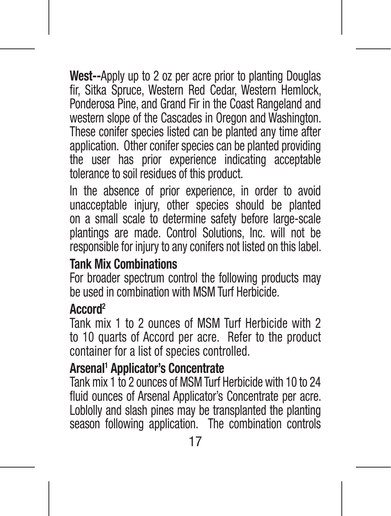**West--**Apply up to 2 oz per acre prior to planting Douglas fir, Sitka Spruce, Western Red Cedar, Western Hemlock, Ponderosa Pine, and Grand Fir in the Coast Rangeland and western slope of the Cascades in Oregon and Washington. These conifer species listed can be planted any time after application. Other conifer species can be planted providing the user has prior experience indicating acceptable tolerance to soil residues of this product.

In the absence of prior experience, in order to avoid unacceptable injury, other species should be planted on a small scale to determine safety before large-scale plantings are made. Control Solutions, Inc. will not be responsible for injury to any conifers not listed on this label.

### **Tank Mix Combinations**

For broader spectrum control the following products may be used in combination with MSM Turf Herbicide.

### **Accord2**

Tank mix 1 to 2 ounces of MSM Turf Herbicide with 2 to 10 quarts of Accord per acre. Refer to the product container for a list of species controlled.

#### **Arsenal1 Applicator's Concentrate**

Tank mix 1 to 2 ounces of MSM Turf Herbicide with 10 to 24 fluid ounces of Arsenal Applicator's Concentrate per acre. Loblolly and slash pines may be transplanted the planting season following application. The combination controls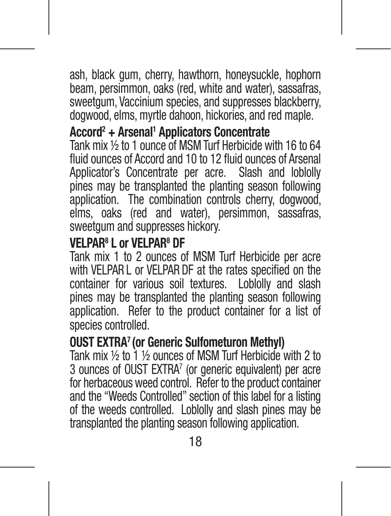ash, black gum, cherry, hawthorn, honeysuckle, hophorn beam, persimmon, oaks (red, white and water), sassafras, sweetgum, Vaccinium species, and suppresses blackberry. dogwood, elms, myrtle dahoon, hickories, and red maple.

#### **Accord2 + Arsenal1 Applicators Concentrate**

Tank mix ½ to 1 ounce of MSM Turf Herbicide with 16 to 64 fluid ounces of Accord and 10 to 12 fluid ounces of Arsenal Applicator's Concentrate per acre. Slash and loblolly pines may be transplanted the planting season following application. The combination controls cherry, dogwood, elms, oaks (red and water), persimmon, sassafras, sweetgum and suppresses hickory.

### **VELPAR8 L or VELPAR8 DF**

Tank mix 1 to 2 ounces of MSM Turf Herbicide per acre with VELPAR L or VELPAR DF at the rates specified on the container for various soil textures. Loblolly and slash pines may be transplanted the planting season following application. Refer to the product container for a list of species controlled.

#### **OUST EXTRA7 (or Generic Sulfometuron Methyl)**

Tank mix ½ to 1 ½ ounces of MSM Turf Herbicide with 2 to 3 ounces of OUST EXTRA7 (or generic equivalent) per acre for herbaceous weed control. Refer to the product container and the "Weeds Controlled" section of this label for a listing of the weeds controlled. Loblolly and slash pines may be transplanted the planting season following application.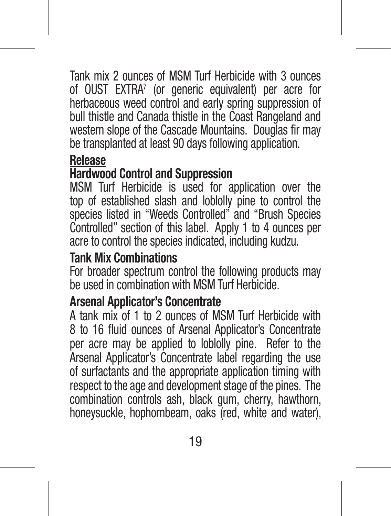Tank mix 2 ounces of MSM Turf Herbicide with 3 ounces of OUST EXTRA7 (or generic equivalent) per acre for herbaceous weed control and early spring suppression of bull thistle and Canada thistle in the Coast Rangeland and western slope of the Cascade Mountains. Douglas fir may be transplanted at least 90 days following application.

### **Release**

### **Hardwood Control and Suppression**

MSM Turf Herbicide is used for application over the top of established slash and loblolly pine to control the species listed in "Weeds Controlled" and "Brush Species Controlled" section of this label. Apply 1 to 4 ounces per acre to control the species indicated, including kudzu.

### **Tank Mix Combinations**

For broader spectrum control the following products may be used in combination with MSM Turf Herbicide.

### **Arsenal Applicator's Concentrate**

A tank mix of 1 to 2 ounces of MSM Turf Herbicide with 8 to 16 fluid ounces of Arsenal Applicator's Concentrate per acre may be applied to loblolly pine. Refer to the Arsenal Applicator's Concentrate label regarding the use of surfactants and the appropriate application timing with respect to the age and development stage of the pines. The combination controls ash, black gum, cherry, hawthorn, honeysuckle, hophombeam, oaks (red, white and water).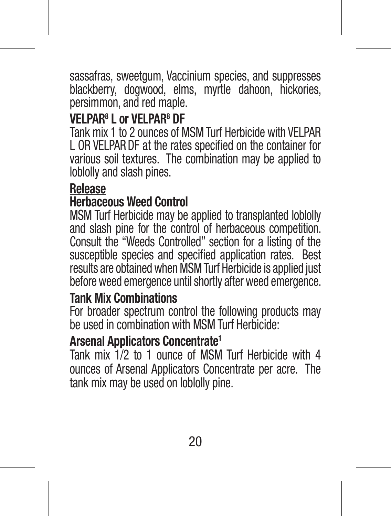sassafras, sweetgum, Vaccinium species, and suppresses blackberry, dogwood, elms, myrtle dahoon, hickories, persimmon, and red maple.

### **VELPAR8 L or VELPAR8 DF**

Tank mix 1 to 2 ounces of MSM Turf Herbicide with VELPAR L OR VELPAR DF at the rates specified on the container for various soil textures. The combination may be applied to loblolly and slash pines.

#### **Release**

### **Herbaceous Weed Control**

MSM Turf Herbicide may be applied to transplanted loblolly and slash pine for the control of herbaceous competition. Consult the "Weeds Controlled" section for a listing of the susceptible species and specified application rates. Best results are obtained when MSM Turf Herbicide is applied just before weed emergence until shortly after weed emergence.

### **Tank Mix Combinations**

For broader spectrum control the following products may be used in combination with MSM Turf Herbicide:

#### **Arsenal Applicators Concentrate1**

Tank mix 1/2 to 1 ounce of MSM Turf Herbicide with 4 ounces of Arsenal Applicators Concentrate per acre. The tank mix may be used on loblolly pine.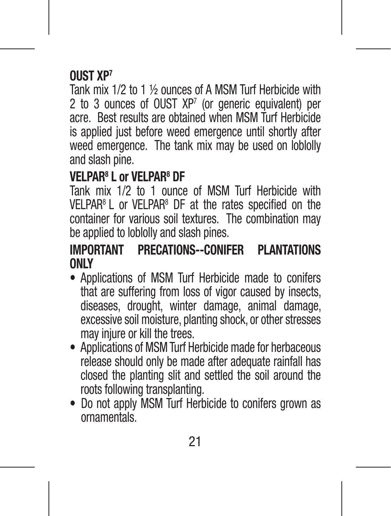### **OUST XP7**

Tank mix 1/2 to 1 ½ ounces of A MSM Turf Herbicide with 2 to 3 ounces of OUST XP7 (or generic equivalent) per acre. Best results are obtained when MSM Turf Herbicide is applied just before weed emergence until shortly after weed emergence. The tank mix may be used on loblolly and slash pine.

### **VELPAR8 L or VELPAR8 DF**

Tank mix 1/2 to 1 ounce of MSM Turf Herbicide with VELPAR8 L or VELPAR8 DF at the rates specified on the container for various soil textures. The combination may be applied to loblolly and slash pines.

### **IMPORTANT PRECATIONS--CONIFER PLANTATIONS ONLY**

- Applications of MSM Turf Herbicide made to conifers that are suffering from loss of vigor caused by insects, diseases, drought, winter damage, animal damage, excessive soil moisture, planting shock, or other stresses may injure or kill the trees.
- Applications of MSM Turf Herbicide made for herbaceous release should only be made after adequate rainfall has closed the planting slit and settled the soil around the roots following transplanting.
- Do not apply MSM Turf Herbicide to conifers grown as ornamentals.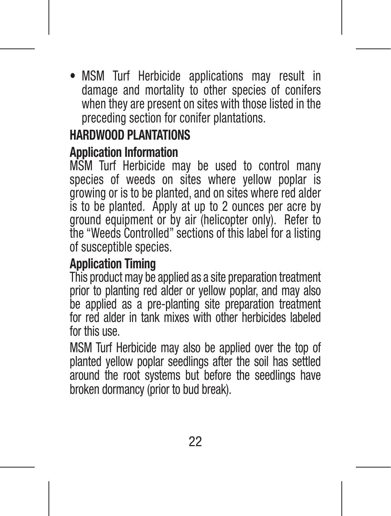• MSM Turf Herbicide applications may result in damage and mortality to other species of conifers when they are present on sites with those listed in the preceding section for conifer plantations.

### **HARDWOOD PLANTATIONS**

### **Application Information**

MSM Turf Herbicide may be used to control many species of weeds on sites where yellow poplar is growing or is to be planted, and on sites where red alder is to be planted. Apply at up to 2 ounces per acre by ground equipment or by air (helicopter only). Refer to the "Weeds Controlled" sections of this label for a listing of susceptible species.

### **Application Timing**

This product may be applied as a site preparation treatment prior to planting red alder or yellow poplar, and may also be applied as a pre-planting site preparation treatment for red alder in tank mixes with other herbicides labeled for this use.

MSM Turf Herbicide may also be applied over the top of planted yellow poplar seedlings after the soil has settled around the root systems but before the seedlings have broken dormancy (prior to bud break).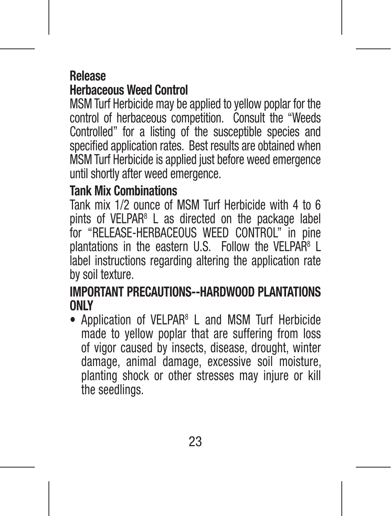#### **Release Herbaceous Weed Control**

MSM Turf Herbicide may be applied to yellow poplar for the control of herbaceous competition. Consult the "Weeds Controlled" for a listing of the susceptible species and specified application rates. Best results are obtained when MSM Turf Herbicide is applied just before weed emergence until shortly after weed emergence.

### **Tank Mix Combinations**

Tank mix 1/2 ounce of MSM Turf Herbicide with 4 to 6 pints of VELPAR<sup>8</sup> L as directed on the package label for "RELEASE-HERBACEOUS WEED CONTROL" in pine plantations in the eastern U.S. Follow the VELPAR<sup>s</sup> L label instructions regarding altering the application rate by soil texture.

### **IMPORTANT PRECAUTIONS--HARDWOOD PLANTATIONS ONLY**

• Application of VELPAR<sup>8</sup> L and MSM Turf Herbicide made to yellow poplar that are suffering from loss of vigor caused by insects, disease, drought, winter damage, animal damage, excessive soil moisture, planting shock or other stresses may injure or kill the seedlings.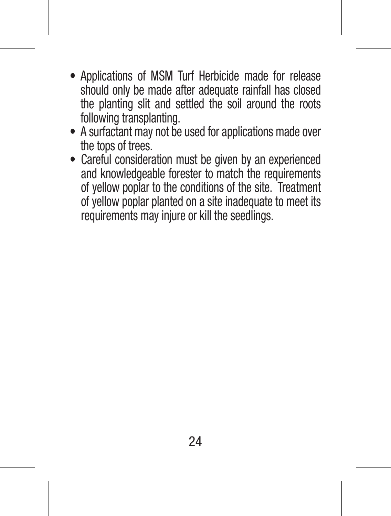- Applications of MSM Turf Herbicide made for release should only be made after adequate rainfall has closed the planting slit and settled the soil around the roots following transplanting.
- A surfactant may not be used for applications made over the tops of trees.
- Careful consideration must be given by an experienced and knowledgeable forester to match the requirements of yellow poplar to the conditions of the site. Treatment of yellow poplar planted on a site inadequate to meet its requirements may injure or kill the seedlings.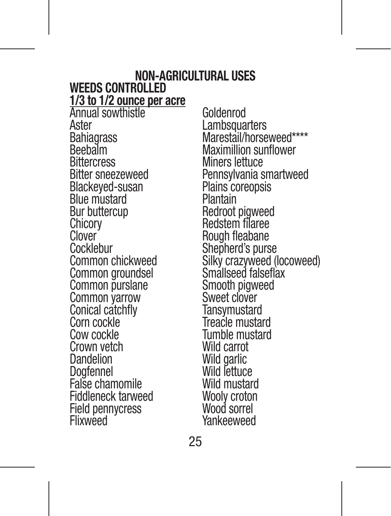### **NON-AGRICULTURAL USES**

**WEEDS CONTROLLED 1/3 to 1/2 ounce per acre**

**Annual sowthistle Goldenrod**<br>Aster Lambsqua Aster Lambsquarters<br>
Bahiaarass Marestail/horse Bittercress Miners lettuce<br>Bitter sneezeweed Pennsylvania s Blackeyed-susan Plains core<br>Blue mustard Plantain Blue mustard<br>Bur buttercup Bur buttercup Redroot pigweed<br>Chicory Redstem filaree Chicory Redstem filaree<br>Clover Rough Heabane Clover'<br>Cocklebur Rough fleabane<br>Shenherd's purs Cocklebur Shepherd's purse<br>Common chickweed Silky crazyweed ( Common groundsel Smallseed falsefl<br>Common purslane Smooth pigweed Common purslane Smooth pigweed Common varrow Common yarrow Sweet clover<br>
Conical catchfly<br>
Conical catchfly<br>
Conical control Conical catchfly<br>Corn cockle Corn cockle (Corn cockle Treacle mustard<br>Cow cockle (Corn Tumble mustard Crown vetch<br>Dandelion Dandelion Wild garlic<br>Dogfennel Wild lettuc False chamomile **Wild mustard**<br>Fiddleneck tarweed **Woolv** croton Fiddleneck tarweed Wooly croton<br>Field pennycress Wood sorrel Field pennycress<br>Flixweed

Bahiagrass Marestail/horseweed\*\*\*<br>Beebalm Maximillion sunflower Beebalm Maximillion sunflower<br>Bittercress Miners lettuce Pennsylvania smartweed<br>Plains coreopsis Silky crazyweed (locoweed)<br>Smallseed falseflax Tumble mustard<br>Wild carrot Wild lettuce<br>Wild mustard Yankeeweed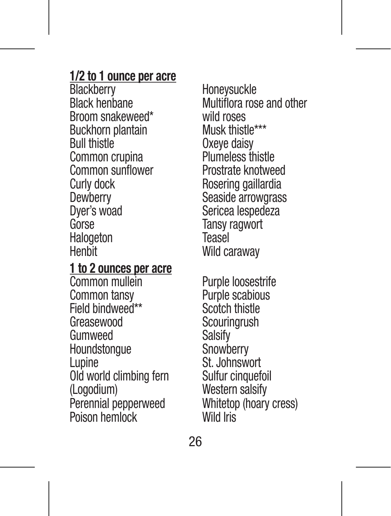## **1/2 to 1 ounce per acre**

Blackberry Honeysuckle<br>Black henhane Multiflora ros Broom snakeweed\* wild roses<br>Buckhom plantain Musk thistle\*\*\* Buckhorn plantain<br>Bull thistle Common crupina Plumeless thistle<br>Common sunflower Prostrate knotweed Common sunflower<br>Curly dock Curly dock Rosering gaillardia<br>
Dewberry Seaside arrowaras Dewberry Seaside arrowgrass<br>Dyer's woad Sericea lespedeza Dyer's woad Sericea lespedeza<br>Gorse Gorse Tansy ragwort<br>Halogeton Teasel Henbit Wild caraway

## **1 to 2 ounces per acre**

**Common mullein** Purple loosestrife<br> **Common tansy** Purple scabious Field bindweed\*<br>Greasewood Gumweed Salsify<br>Houndstongue Snowberry Houndstongue Snowberry<br>
Lupine St. Johnswort Old world climbing fern Sulfur cinquefoil<br>(Logodium) Western salsify Perennial pepperweed Whitetop<br>Poison hemlock Wild Iris Poison hemlock

Multiflora rose and other<br>wild roses Oxeye daisy<br>Plumeless thistle

Purple scabious<br>Scotch thistle Scouringrush<br>Salsify Western salsify<br>Whitetop (hoary cress)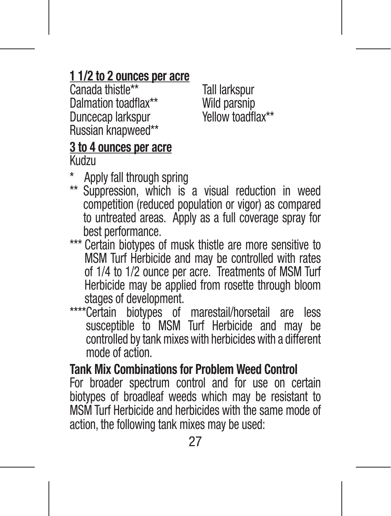### **1 1/2 to 2 ounces per acre**

Canada thistle\*\* Tall larkspur<br>Dalmation toadflax\*\* Wild parsnip Dalmation toadflax\*\* Wild parsnip<br>Duncecap larkspur Yellow toadflax\*\* Duncecap larkspur Russian knapweed\*\*

### **3 to 4 ounces per acre**

Kudzu

- Apply fall through spring
- \*\* Suppression, which is a visual reduction in weed competition (reduced population or vigor) as compared to untreated areas. Apply as a full coverage spray for best performance.
- \*\*\* Certain biotypes of musk thistle are more sensitive to MSM Turf Herbicide and may be controlled with rates of 1/4 to 1/2 ounce per acre. Treatments of MSM Turf Herbicide may be applied from rosette through bloom stages of development.
- \*\*\*\*Certain biotypes of marestail/horsetail are less susceptible to MSM Turf Herbicide and may be controlled by tank mixes with herbicides with a different mode of action.

#### **Tank Mix Combinations for Problem Weed Control**

For broader spectrum control and for use on certain biotypes of broadleaf weeds which may be resistant to MSM Turf Herbicide and herbicides with the same mode of action, the following tank mixes may be used: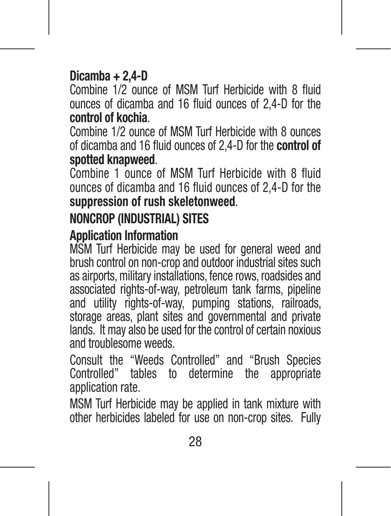### **Dicamba + 2,4-D**

Combine 1/2 ounce of MSM Turf Herbicide with 8 fluid ounces of dicamba and 16 fluid ounces of 2,4-D for the **control of kochia**.

Combine 1/2 ounce of MSM Turf Herbicide with 8 ounces of dicamba and 16 fluid ounces of 2,4-D for the **control of spotted knapweed**.

Combine 1 ounce of MSM Turf Herbicide with 8 fluid ounces of dicamba and 16 fluid ounces of 2,4-D for the **suppression of rush skeletonweed**.

### **NONCROP (INDUSTRIAL) SITES**

### **Application Information**

MSM Turf Herbicide may be used for general weed and brush control on non-crop and outdoor industrial sites such as airports, military installations, fence rows, roadsides and associated rights-of-way, petroleum tank farms, pipeline and utility rights-of-way, pumping stations, railroads, storage areas, plant sites and governmental and private lands. It may also be used for the control of certain noxious and troublesome weeds.

Consult the "Weeds Controlled" and "Brush Species Controlled" tables to determine the appropriate application rate.

MSM Turf Herbicide may be applied in tank mixture with other herbicides labeled for use on non-crop sites. Fully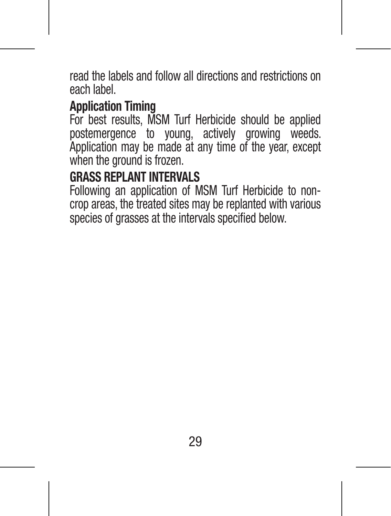read the labels and follow all directions and restrictions on each label.

### **Application Timing**

For best results, MSM Turf Herbicide should be applied postemergence to young, actively growing weeds. Application may be made at any time of the year, except when the ground is frozen.

### **GRASS REPLANT INTERVALS**

Following an application of MSM Turf Herbicide to noncrop areas, the treated sites may be replanted with various species of grasses at the intervals specified below.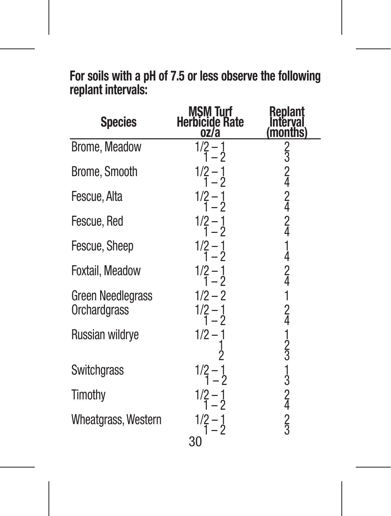## **For soils with a pH of 7.5 or less observe the following replant intervals:**

| <b>Species</b>                    | MSM Turf<br>Herbicide Rate<br>oz/a       | Replant<br>(months)         |
|-----------------------------------|------------------------------------------|-----------------------------|
| Brome, Meadow                     |                                          |                             |
| Brome, Smooth                     | $\frac{1}{2}$ –                          |                             |
| Fescue, Alta                      | $\frac{1}{2} - \frac{1}{2}$              |                             |
| Fescue, Red                       | $\frac{1}{2} - \frac{1}{2}$              |                             |
| Fescue, Sheep                     | $\frac{1}{2} - \frac{1}{2}$              |                             |
| Foxtail, Meadow                   | $\frac{1}{2} - \frac{1}{2}$              |                             |
| Green Needlegrass<br>Orchardgrass | $1/2 - 2$<br>$\frac{1}{2} - \frac{1}{2}$ | 253242424142412412531324253 |
| Russian wildrye                   | $1/2 - 1$                                |                             |
| Switchgrass                       | $\frac{1}{2} - \frac{1}{2}$              |                             |
| Timothy                           | $\frac{1}{2} - \frac{1}{2}$              |                             |
| Wheatgrass, Western               | $\frac{1}{2} - \frac{1}{2}$<br>30        |                             |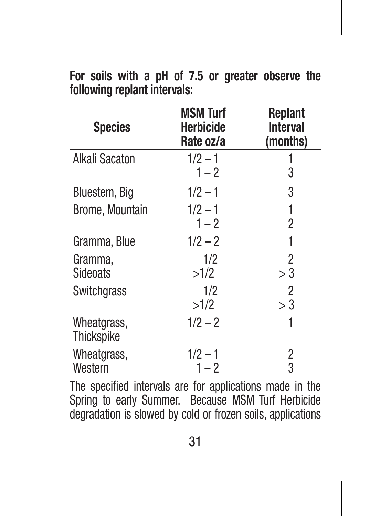### **For soils with a pH of 7.5 or greater observe the following replant intervals:**

| <b>Species</b>            | <b>MSM Turf</b><br><b>Herbicide</b><br>Rate oz/a | Replant<br><b>Interval</b><br>(months) |
|---------------------------|--------------------------------------------------|----------------------------------------|
| Alkali Sacaton            | $1/2 - 1$<br>$1 - 2$                             | 1<br>3                                 |
| Bluestem, Big             | $1/2 - 1$                                        | 3                                      |
| Brome, Mountain           | $1/2 - 1$<br>$1 - 2$                             | 1<br>$\overline{c}$                    |
| Gramma. Blue              | $1/2 - 2$                                        | 1                                      |
| Gramma.<br>Sideoats       | 1/2<br>>1/2                                      | 2<br>> 3                               |
| Switchgrass               | 1/2<br>>1/2                                      | $\overline{2}$<br>> 3                  |
| Wheatgrass,<br>Thickspike | $1/2 - 2$                                        | 1                                      |
| Wheatgrass,<br>Western    | $1/2 - 1$<br>$1 - 2$                             | 2<br>3                                 |

The specified intervals are for applications made in the Spring to early Summer. Because MSM Turf Herbicide degradation is slowed by cold or frozen soils, applications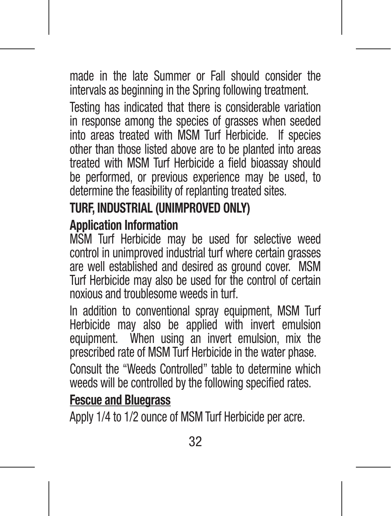made in the late Summer or Fall should consider the intervals as beginning in the Spring following treatment.

Testing has indicated that there is considerable variation in response among the species of grasses when seeded into areas treated with MSM Turf Herbicide. If species other than those listed above are to be planted into areas treated with MSM Turf Herbicide a field bioassay should be performed, or previous experience may be used, to determine the feasibility of replanting treated sites.

### **TURF, INDUSTRIAL (UNIMPROVED ONLY)**

### **Application Information**

MSM Turf Herbicide may be used for selective weed control in unimproved industrial turf where certain grasses are well established and desired as ground cover. MSM Turf Herbicide may also be used for the control of certain noxious and troublesome weeds in turf.

In addition to conventional spray equipment, MSM Turf Herbicide may also be applied with invert emulsion equipment. When using an invert emulsion, mix the prescribed rate of MSM Turf Herbicide in the water phase. Consult the "Weeds Controlled" table to determine which weeds will be controlled by the following specified rates.

### **Fescue and Bluegrass**

Apply 1/4 to 1/2 ounce of MSM Turf Herbicide per acre.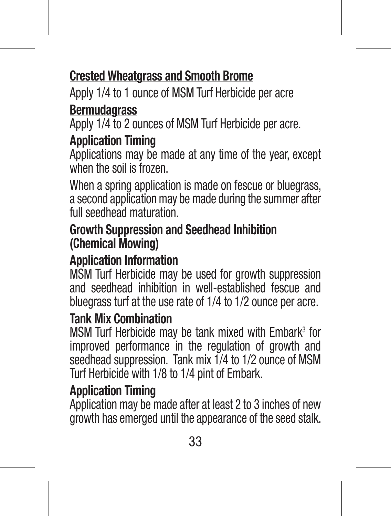### **Crested Wheatgrass and Smooth Brome**

Apply 1/4 to 1 ounce of MSM Turf Herbicide per acre

### **Bermudagrass**

Apply 1/4 to 2 ounces of MSM Turf Herbicide per acre.

### **Application Timing**

Applications may be made at any time of the year, except when the soil is frozen.

When a spring application is made on fescue or bluegrass, a second application may be made during the summer after full seedhead maturation.

### **Growth Suppression and Seedhead Inhibition (Chemical Mowing)**

### **Application Information**

MSM Turf Herbicide may be used for growth suppression and seedhead inhibition in well-established fescue and bluegrass turf at the use rate of 1/4 to 1/2 ounce per acre.

### **Tank Mix Combination**

MSM Turf Herbicide may be tank mixed with Embark<sup>3</sup> for improved performance in the regulation of growth and seedhead suppression. Tank mix 1/4 to 1/2 ounce of MSM Turf Herbicide with 1/8 to 1/4 pint of Embark.

### **Application Timing**

Application may be made after at least 2 to 3 inches of new growth has emerged until the appearance of the seed stalk.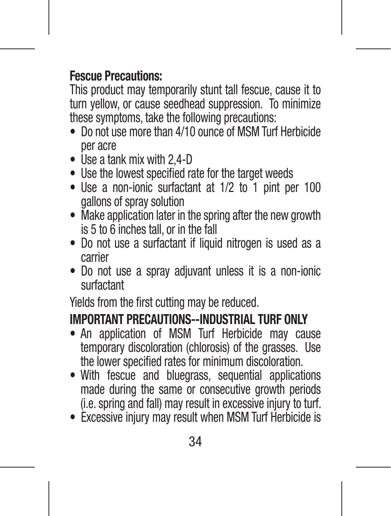### **Fescue Precautions:**

This product may temporarily stunt tall fescue, cause it to turn yellow, or cause seedhead suppression. To minimize these symptoms, take the following precautions:

- Do not use more than 4/10 ounce of MSM Turf Herbicide per acre
- $\bullet$  Use a tank mix with 2,4-D
- Use the lowest specified rate for the target weeds
- Use a non-ionic surfactant at 1/2 to 1 pint per 100 gallons of spray solution
- Make application later in the spring after the new growth is 5 to 6 inches tall, or in the fall
- Do not use a surfactant if liquid nitrogen is used as a carrier
- Do not use a spray adjuvant unless it is a non-ionic surfactant

Yields from the first cutting may be reduced.

### **IMPORTANT PRECAUTIONS--INDUSTRIAL TURF ONLY**

- An application of MSM Turf Herbicide may cause temporary discoloration (chlorosis) of the grasses. Use the lower specified rates for minimum discoloration.
- With fescue and bluegrass, sequential applications made during the same or consecutive growth periods (i.e. spring and fall) may result in excessive injury to turf.
- Excessive injury may result when MSM Turf Herbicide is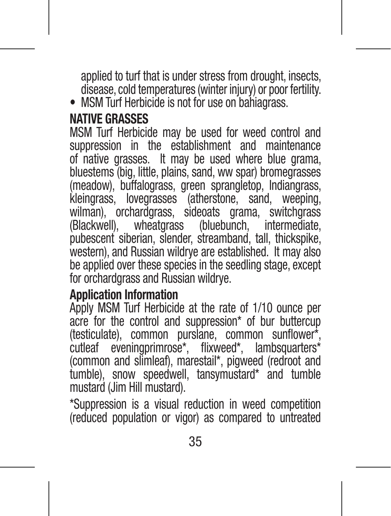applied to turf that is under stress from drought, insects, disease, cold temperatures (winter injury) or poor fertility.

• MSM Turf Herbicide is not for use on bahiagrass.

### **NATIVE GRASSES**

MSM Turf Herbicide may be used for weed control and suppression in the establishment and maintenance of native grasses. It may be used where blue grama, bluestems (big, little, plains, sand, ww spar) bromegrasses (meadow), buffalograss, green sprangletop, Indiangrass, kleingrass, lovegrasses (atherstone, sand, weeping, wilman), orchardgrass, sideoats grama, switchgrass (Blackwell) wheatgrass (bluebunch intermediate pubescent siberian, slender, streamband, tall, thickspike, western), and Russian wildrye are established. It may also be applied over these species in the seedling stage, except for orchardgrass and Russian wildrye.

#### **Application Information**

Apply MSM Turf Herbicide at the rate of 1/10 ounce per acre for the control and suppression\* of bur buttercup (testiculate), common purslane, common sunflower\*, cutleaf eveningprimrose\*, flixweed\*, lambsquarters\* (common and slimleaf), marestail\*, pigweed (redroot and tumble), snow speedwell, tansymustard\* and tumble mustard (Jim Hill mustard).

\*Suppression is a visual reduction in weed competition (reduced population or vigor) as compared to untreated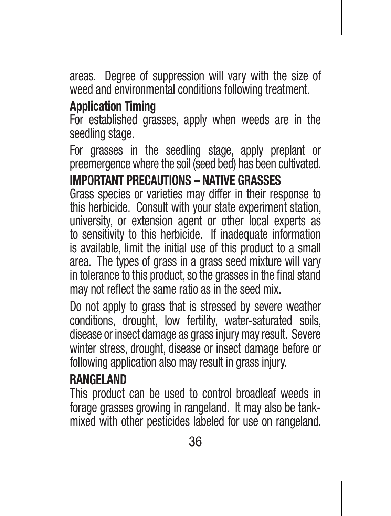areas. Degree of suppression will vary with the size of weed and environmental conditions following treatment.

#### **Application Timing**

For established grasses, apply when weeds are in the seedling stage.

For grasses in the seedling stage, apply preplant or preemergence where the soil (seed bed) has been cultivated. **IMPORTANT PRECAUTIONS – NATIVE GRASSES**

Grass species or varieties may differ in their response to this herbicide. Consult with your state experiment station, university, or extension agent or other local experts as to sensitivity to this herbicide. If inadequate information is available, limit the initial use of this product to a small area. The types of grass in a grass seed mixture will vary in tolerance to this product, so the grasses in the final stand may not reflect the same ratio as in the seed mix.

Do not apply to grass that is stressed by severe weather conditions, drought, low fertility, water-saturated soils, disease or insect damage as grass injury may result. Severe winter stress, drought, disease or insect damage before or following application also may result in grass injury.

### **RANGELAND**

This product can be used to control broadleaf weeds in forage grasses growing in rangeland. It may also be tankmixed with other pesticides labeled for use on rangeland.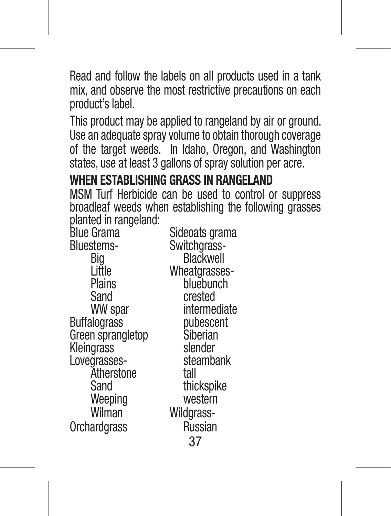Read and follow the labels on all products used in a tank mix, and observe the most restrictive precautions on each product's label.

This product may be applied to rangeland by air or ground. Use an adequate spray volume to obtain thorough coverage of the target weeds. In Idaho, Oregon, and Washington states, use at least 3 gallons of spray solution per acre.

### **WHEN ESTABLISHING GRASS IN RANGELAND**

MSM Turf Herbicide can be used to control or suppress broadleaf weeds when establishing the following grasses planted in rangeland:

| <b>Blue Grama</b>   | Sideoa          |
|---------------------|-----------------|
| <b>Bluestems-</b>   | Switch          |
| Bia                 | Bla             |
| Little              | Wheat           |
| Plains              | blu             |
| Sand                | cr <sub>e</sub> |
| WW spar             | inte            |
| <b>Buffalograss</b> | pul             |
| Green sprangletop   | Sib             |
| Kleingrass          | sle             |
| Lovegrasses-        | ste             |
| Atherstone          | tall            |
| Sand                | thio            |
| Weeping             | we              |
| Wilman              | Wildgr          |
| Orchardgrass        | Ru:             |
|                     |                 |

37 eoats grama itchgrass-Big Blackwell eatgrasseshluebunch crested intermediate Buhescent Siberian slender steambank<br><sup>tall</sup> thickspike western dorass-Russian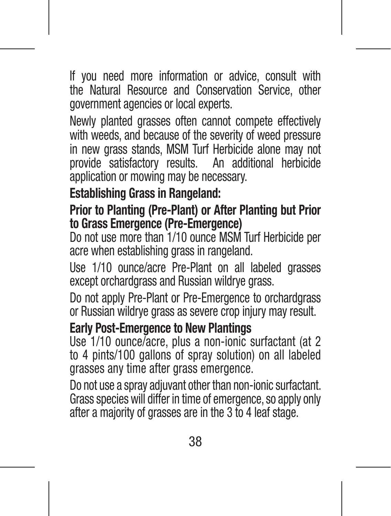If you need more information or advice, consult with the Natural Resource and Conservation Service, other government agencies or local experts.

Newly planted grasses often cannot compete effectively with weeds, and because of the severity of weed pressure in new grass stands, MSM Turf Herbicide alone may not application or mowing may be necessary.

### **Establishing Grass in Rangeland:**

#### **Prior to Planting (Pre-Plant) or After Planting but Prior to Grass Emergence (Pre-Emergence)**

Do not use more than 1/10 ounce MSM Turf Herbicide per acre when establishing grass in rangeland.

Use 1/10 ounce/acre Pre-Plant on all labeled grasses except orchardgrass and Russian wildrye grass.

Do not apply Pre-Plant or Pre-Emergence to orchardgrass or Russian wildrye grass as severe crop injury may result.

### **Early Post-Emergence to New Plantings**

Use 1/10 ounce/acre, plus a non-ionic surfactant (at 2 to 4 pints/100 gallons of spray solution) on all labeled grasses any time after grass emergence.

Do not use a spray adjuvant other than non-ionic surfactant. Grass species will differ in time of emergence, so apply only after a majority of grasses are in the 3 to 4 leaf stage.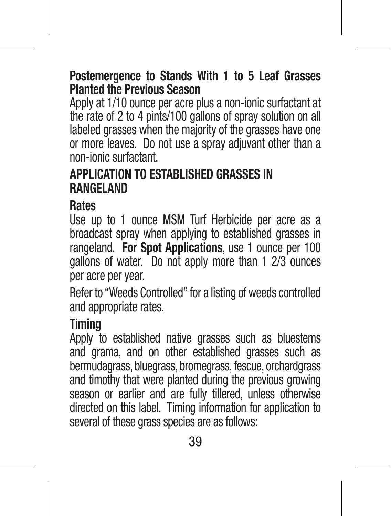### **Postemergence to Stands With 1 to 5 Leaf Grasses Planted the Previous Season**

Apply at 1/10 ounce per acre plus a non-ionic surfactant at the rate of 2 to 4 pints/100 gallons of spray solution on all labeled grasses when the majority of the grasses have one or more leaves. Do not use a spray adjuvant other than a non-ionic surfactant.

### **APPLICATION TO ESTABLISHED GRASSES IN RANGELAND**

### **Rates**

Use up to 1 ounce MSM Turf Herbicide per acre as a broadcast spray when applying to established grasses in rangeland. **For Spot Applications**, use 1 ounce per 100 gallons of water. Do not apply more than 1 2/3 ounces per acre per year.

Refer to "Weeds Controlled" for a listing of weeds controlled and appropriate rates.

### **Timing**

Apply to established native grasses such as bluestems and grama, and on other established grasses such as bermudagrass, bluegrass, bromegrass, fescue, orchardgrass and timothy that were planted during the previous growing season or earlier and are fully tillered, unless otherwise directed on this label. Timing information for application to several of these grass species are as follows: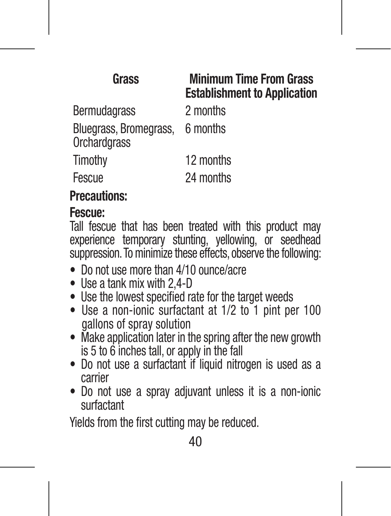| Grass                                           | <b>Minimum Time From Grass</b><br><b>Establishment to Application</b> |
|-------------------------------------------------|-----------------------------------------------------------------------|
| Bermudagrass                                    | 2 months                                                              |
| Bluegrass, Bromegrass, 6 months<br>Orchardgrass |                                                                       |
| Timothy                                         | 12 months                                                             |
| Fescue                                          | 24 months                                                             |

### **Precautions:**

#### **Fescue:**

Tall fescue that has been treated with this product may experience temporary stunting, yellowing, or seedhead suppression. To minimize these effects, observe the following:

- Do not use more than 4/10 ounce/acre
- Use a tank mix with 2,4-D
- Use the lowest specified rate for the target weeds
- Use a non-ionic surfactant at 1/2 to 1 pint per 100 gallons of spray solution
- Make application later in the spring after the new growth is 5 to 6 inches tall, or apply in the fall
- Do not use a surfactant if liquid nitrogen is used as a carrier
- Do not use a spray adjuvant unless it is a non-ionic surfactant

Yields from the first cutting may be reduced.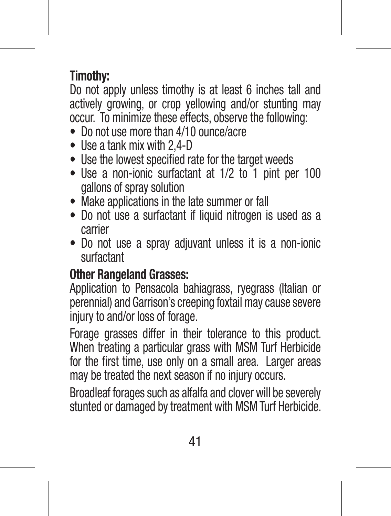### **Timothy:**

Do not apply unless timothy is at least 6 inches tall and actively growing, or crop yellowing and/or stunting may occur. To minimize these effects, observe the following:

- Do not use more than 4/10 ounce/acre
- Use a tank mix with 2,4-D
- Use the lowest specified rate for the target weeds
- Use a non-ionic surfactant at 1/2 to 1 pint per 100 gallons of spray solution
- Make applications in the late summer or fall
- Do not use a surfactant if liquid nitrogen is used as a carrier
- Do not use a spray adjuvant unless it is a non-ionic surfactant

### **Other Rangeland Grasses:**

Application to Pensacola bahiagrass, ryegrass (Italian or perennial) and Garrison's creeping foxtail may cause severe injury to and/or loss of forage.

Forage grasses differ in their tolerance to this product. When treating a particular grass with MSM Turf Herbicide for the first time, use only on a small area. Larger areas may be treated the next season if no injury occurs.

Broadleaf forages such as alfalfa and clover will be severely stunted or damaged by treatment with MSM Turf Herbicide.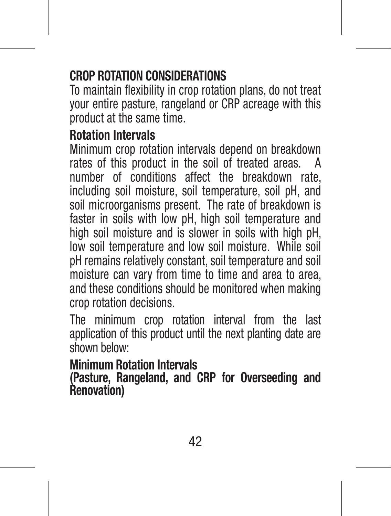### **CROP ROTATION CONSIDERATIONS**

To maintain flexibility in crop rotation plans, do not treat your entire pasture, rangeland or CRP acreage with this product at the same time.

#### **Rotation Intervals**

Minimum crop rotation intervals depend on breakdown rates of this product in the soil of treated areas. A number of conditions affect the breakdown rate, including soil moisture, soil temperature, soil pH, and soil microorganisms present. The rate of breakdown is faster in soils with low pH, high soil temperature and high soil moisture and is slower in soils with high pH. low soil temperature and low soil moisture. While soil pH remains relatively constant, soil temperature and soil moisture can vary from time to time and area to area, and these conditions should be monitored when making crop rotation decisions.

The minimum crop rotation interval from the last application of this product until the next planting date are shown below:

#### **Minimum Rotation Intervals**

**(Pasture, Rangeland, and CRP for Overseeding and Renovation)**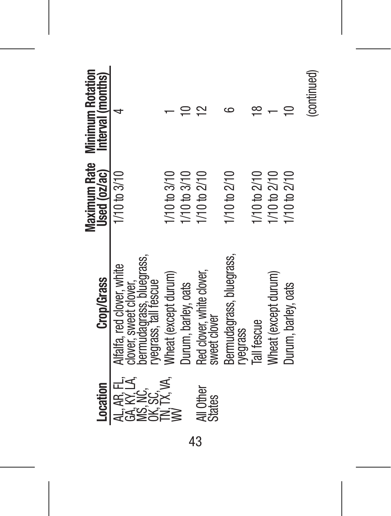| Ainimum Rotation<br>Interval (mon   |                                                                                              |                      |                     |                                           |                                     |             |                      |                     | (continued) |
|-------------------------------------|----------------------------------------------------------------------------------------------|----------------------|---------------------|-------------------------------------------|-------------------------------------|-------------|----------------------|---------------------|-------------|
| <b>Maximum Rate</b><br>Jsed (oz/ac) | I/10 to 3/10                                                                                 | /10 to 3/10          | /10 to 3/10         | I/10 to 2/10                              | I/10 to 2/10                        | /10 to 2/10 | /10 to 2/10          | /10 to 2/10         |             |
| Crop/Grass                          | Irass.<br>alta, red clover, white<br>egrass, tall tescue<br>er, sweet clove<br>rmudaqrass. L | Wheat (except durum) | Jurum, barley, oats | Red clover, white clover,<br>sweet clover | sermudagrass, bluegrass,<br>vegrass | Tall fescue | Vheat (except durum) | Jurum, barley, oats |             |
| .ocation                            |                                                                                              |                      |                     | All Other<br>States                       |                                     |             |                      |                     |             |
|                                     |                                                                                              |                      |                     | 43                                        |                                     |             |                      |                     |             |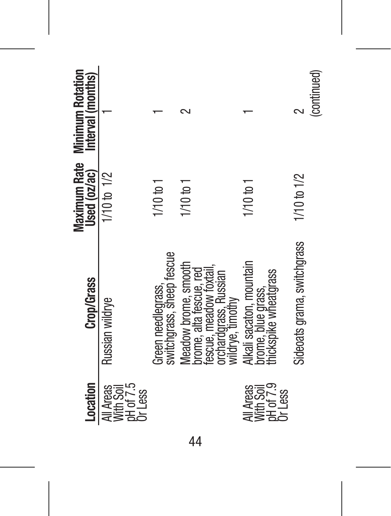| Location                                             | Crop/Grass                                                                                                            | Used (oz/ac)    | Maximum Rate Minimum Rotation<br>Interval (months) |
|------------------------------------------------------|-----------------------------------------------------------------------------------------------------------------------|-----------------|----------------------------------------------------|
| All Areas<br>With Soil<br>pH of 7.5<br>Jr Less       | Russian wildrye                                                                                                       | 1/10 to 1/2     |                                                    |
|                                                      | switchgrass, sheep fescue<br>Green needlegrass,                                                                       | $1/10$ to $1$   |                                                    |
|                                                      | Meadow brome, smooth<br>prome, alta fescue, red<br>escue, meadow foxtail<br>orchardgrass, Russian<br>wildrye, timothy | $1/10$ to 1     |                                                    |
| All Areas<br>With Soil<br>N of 7.9<br><b>Dr</b> Less | Alkali sacaton. mountain<br>prome, blue grass,<br>thickspike wheatgrass                                               | $1/10$ to $1$   |                                                    |
|                                                      | Sideoats grama, switchgrass                                                                                           | $1/10$ to $1/2$ | (continued)                                        |

44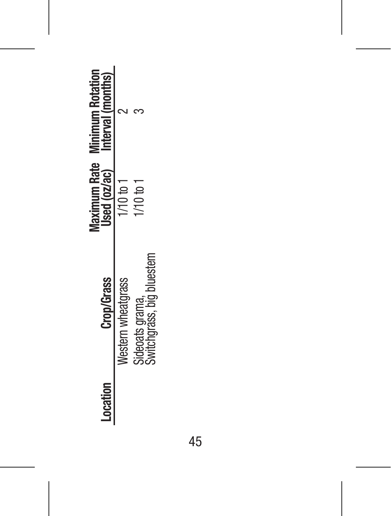| <b>Crop/Grass</b>          | aximum Rate   | Minimum Rotation |
|----------------------------|---------------|------------------|
| estern wheatora            | $1/10$ to 1   |                  |
| vinesten<br>sideoats grama | $1/10$ to $1$ |                  |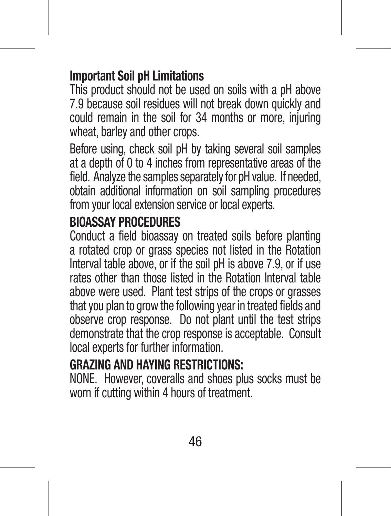### **Important Soil pH Limitations**

This product should not be used on soils with a pH above 7.9 because soil residues will not break down quickly and could remain in the soil for 34 months or more, injuring wheat, barley and other crops.

Before using, check soil pH by taking several soil samples at a depth of 0 to 4 inches from representative areas of the field. Analyze the samples separately for pH value. If needed, obtain additional information on soil sampling procedures from your local extension service or local experts.

#### **BIOASSAY PROCEDURES**

Conduct a field bioassay on treated soils before planting a rotated crop or grass species not listed in the Rotation Interval table above, or if the soil pH is above 7.9, or if use rates other than those listed in the Rotation Interval table above were used. Plant test strips of the crops or grasses that you plan to grow the following year in treated fields and observe crop response. Do not plant until the test strips demonstrate that the crop response is acceptable. Consult local experts for further information.

### **GRAZING AND HAYING RESTRICTIONS:**

NONE.However, coveralls and shoes plus socks must be worn if cutting within 4 hours of treatment.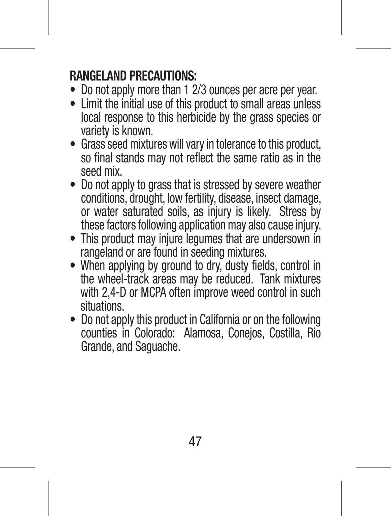### **RANGELAND PRECAUTIONS:**

- Do not apply more than 1 2/3 ounces per acre per year.
- Limit the initial use of this product to small areas unless local response to this herbicide by the grass species or variety is known.
- Grass seed mixtures will vary in tolerance to this product, so final stands may not reflect the same ratio as in the seed mix.
- Do not apply to grass that is stressed by severe weather conditions, drought, low fertility, disease, insect damage, or water saturated soils, as injury is likely. Stress by these factors following application may also cause injury.
- This product may injure legumes that are undersown in rangeland or are found in seeding mixtures.
- When applying by ground to dry, dusty fields, control in the wheel-track areas may be reduced. Tank mixtures with 2,4-D or MCPA often improve weed control in such situations.
- Do not apply this product in California or on the following counties in Colorado: Alamosa, Conejos, Costilla, Rio Grande, and Saguache.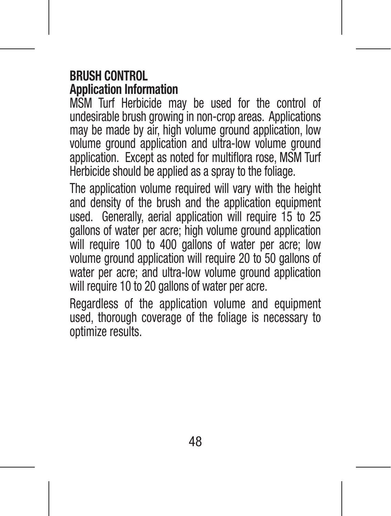#### **BRUSH CONTROL Application Information**

MSM Turf Herbicide may be used for the control of undesirable brush growing in non-crop areas. Applications may be made by air, high volume ground application, low volume ground application and ultra-low volume ground application. Except as noted for multiflora rose, MSM Turf Herbicide should be applied as a spray to the foliage.

The application volume required will vary with the height and density of the brush and the application equipment used. Generally, aerial application will require 15 to 25 gallons of water per acre; high volume ground application will require 100 to 400 gallons of water per acre; low volume ground application will require 20 to 50 gallons of water per acre; and ultra-low volume ground application will require 10 to 20 gallons of water per acre.

Regardless of the application volume and equipment used, thorough coverage of the foliage is necessary to optimize results.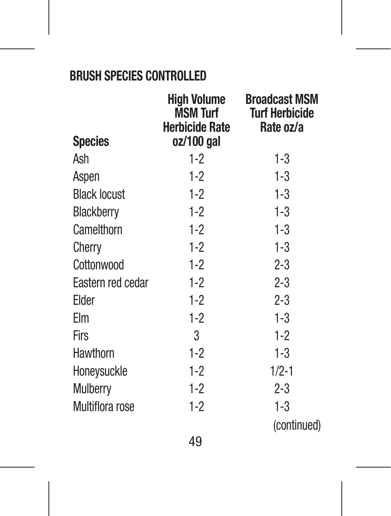### **BRUSH SPECIES CONTROLLED**

| <b>Species</b>      | High Volume<br><b>MSM Turf</b><br>Herbicide Rate<br>oz/100 gal | <b>Broadcast MSM</b><br><b>Turf Herbicide</b><br>Rate oz/a |
|---------------------|----------------------------------------------------------------|------------------------------------------------------------|
| Ash                 | $1 - 2$                                                        | $1 - 3$                                                    |
| Aspen               | $1 - 2$                                                        | $1 - 3$                                                    |
| <b>Black locust</b> | $1 - 2$                                                        | $1 - 3$                                                    |
| Blackberry          | $1 - 2$                                                        | $1 - 3$                                                    |
| Camelthorn          | $1 - 2$                                                        | $1 - 3$                                                    |
| Cherry              | $1 - 2$                                                        | $1 - 3$                                                    |
| Cottonwood          | $1 - 2$                                                        | $2 - 3$                                                    |
| Eastern red cedar   | $1 - 2$                                                        | $2 - 3$                                                    |
| Elder               | $1 - 2$                                                        | $2 - 3$                                                    |
| Elm                 | $1-2$                                                          | $1 - 3$                                                    |
| Firs                | 3                                                              | $1 - 2$                                                    |
| Hawthorn            | $1 - 2$                                                        | $1 - 3$                                                    |
| Honeysuckle         | $1 - 2$                                                        | $1/2 - 1$                                                  |
| Mulberry            | $1 - 2$                                                        | $2 - 3$                                                    |
| Multiflora rose     | $1 - 2$                                                        | $1 - 3$                                                    |
|                     |                                                                | (continued)                                                |

49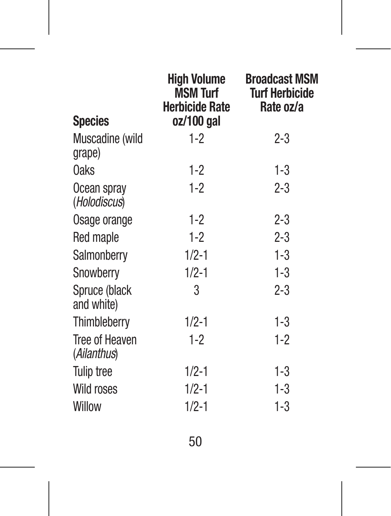| <b>Species</b>                | <b>High Volume</b><br><b>MSM Turf</b><br><b>Herbicide Rate</b><br>oz/100 gal | <b>Broadcast MSM</b><br><b>Turf Herbicide</b><br>Rate oz/a |
|-------------------------------|------------------------------------------------------------------------------|------------------------------------------------------------|
| Muscadine (wild<br>grape)     | $1 - 2$                                                                      | $2 - 3$                                                    |
| Oaks                          | $1 - 2$                                                                      | $1 - 3$                                                    |
| Ocean spray<br>(Holodiscus)   | $1 - 2$                                                                      | $2 - 3$                                                    |
| Osage orange                  | $1 - 2$                                                                      | $2 - 3$                                                    |
| Red maple                     | $1 - 2$                                                                      | $2 - 3$                                                    |
| Salmonberry                   | $1/2 - 1$                                                                    | $1 - 3$                                                    |
| Snowberry                     | $1/2 - 1$                                                                    | $1 - 3$                                                    |
| Spruce (black<br>and white)   | 3                                                                            | $2 - 3$                                                    |
| Thimbleberry                  | $1/2 - 1$                                                                    | $1 - 3$                                                    |
| Tree of Heaven<br>(Ailanthus) | $1 - 2$                                                                      | $1-2$                                                      |
| <b>Tulip</b> tree             | $1/2 - 1$                                                                    | $1-3$                                                      |
| Wild roses                    | $1/2 - 1$                                                                    | $1-3$                                                      |
| Willow                        | $1/2 - 1$                                                                    | $1 - 3$                                                    |

50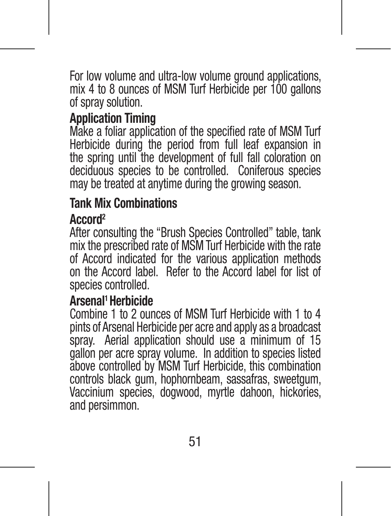For low volume and ultra-low volume ground applications, mix 4 to 8 ounces of MSM Turf Herbicide per 100 gallons of spray solution.

### **Application Timing**

Make a foliar application of the specified rate of MSM Turf Herbicide during the period from full leaf expansion in the spring until the development of full fall coloration on deciduous species to be controlled. Coniferous species may be treated at anytime during the growing season.

### **Tank Mix Combinations**

#### **Accord2**

After consulting the "Brush Species Controlled" table, tank mix the prescribed rate of MSM Turf Herbicide with the rate of Accord indicated for the various application methods on the Accord label. Refer to the Accord label for list of species controlled.

#### **Arsenal1 Herbicide**

Combine 1 to 2 ounces of MSM Turf Herbicide with 1 to 4 pints of Arsenal Herbicide per acre and apply as a broadcast spray. Aerial application should use a minimum of 15 gallon per acre spray volume. In addition to species listed above controlled by MSM Turf Herbicide, this combination controls black gum, hophornbeam, sassafras, sweetgum, Vaccinium species, dogwood, myrtle dahoon, hickories, and persimmon.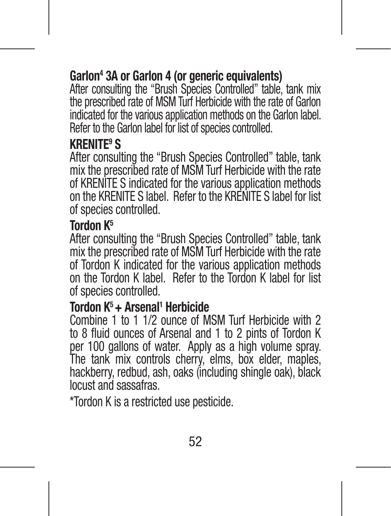### **Garlon4 3A or Garlon 4 (or generic equivalents)**

After consulting the "Brush Species Controlled" table, tank mix the prescribed rate of MSM Turf Herbicide with the rate of Garlon indicated for the various application methods on the Garlon label. Refer to the Garlon label for list of species controlled.

### **KRENITE9 S**

After consulting the "Brush Species Controlled" table, tank mix the prescribed rate of MSM Turf Herbicide with the rate of KRENITE S indicated for the various application methods on the KRENITE S label. Refer to the KRENITE S label for list of species controlled.

#### **Tordon K5**

After consulting the "Brush Species Controlled" table, tank mix the prescribed rate of MSM Turf Herbicide with the rate of Tordon K indicated for the various application methods on the Tordon K label. Refer to the Tordon K label for list of species controlled.

#### **Tordon K5 + Arsenal1 Herbicide**

Combine 1 to 1 1/2 ounce of MSM Turf Herbicide with 2 to 8 fluid ounces of Arsenal and 1 to 2 pints of Tordon K per 100 gallons of water. Apply as a high volume spray. The tank mix controls cherry, elms, box elder, maples, hackberry, redbud, ash, oaks (including shingle oak), black locust and sassafras.

\*Tordon K is a restricted use pesticide.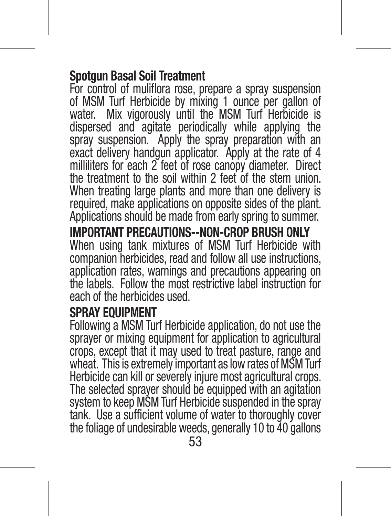### **Spotgun Basal Soil Treatment**

For control of muliflora rose, prepare a spray suspension of MSM Turf Herbicide by mixing 1 ounce per gallon of water. Mix vigorously until the MSM Turf Herbicide is dispersed and agitate periodically while applying the spray suspension. Apply the spray preparation with an exact delivery handqun applicator. Apply at the rate of 4 milliliters for each 2 feet of rose canopy diameter. Direct the treatment to the soil within 2 feet of the stem union. When treating large plants and more than one delivery is required, make applications on opposite sides of the plant. Applications should be made from early spring to summer.

**IMPORTANT PRECAUTIONS--NON-CROP BRUSH ONLY** When using tank mixtures of MSM Turf Herbicide with companion herbicides, read and follow all use instructions, application rates, warnings and precautions appearing on the labels. Follow the most restrictive label instruction for each of the herbicides used.

#### **SPRAY EQUIPMENT**

Following a MSM Turf Herbicide application, do not use the sprayer or mixing equipment for application to agricultural crops, except that it may used to treat pasture, range and wheat. This is extremely important as low rates of MSM Turf Herbicide can kill or severely injure most agricultural crops. The selected sprayer should be equipped with an agitation system to keep MSM Turf Herbicide suspended in the spray tank. Use a sufficient volume of water to thoroughly cover the foliage of undesirable weeds, generally 10 to 40 gallons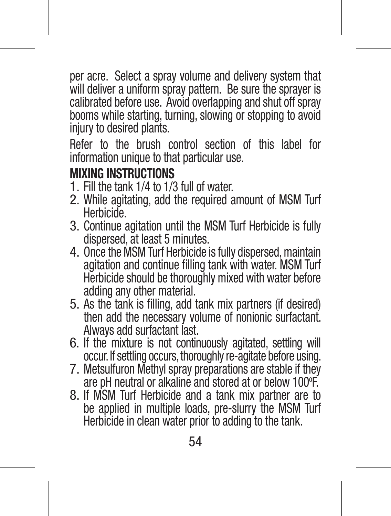per acre. Select a spray volume and delivery system that will deliver a uniform spray pattern. Be sure the sprayer is calibrated before use. Avoid overlapping and shut off spray booms while starting, turning, slowing or stopping to avoid injury to desired plants.

Refer to the brush control section of this label for information unique to that particular use.

- **MIXING INSTRUCTIONS**<br>1 Fill the tank 1/4 to 1/3 full of water
- 2. While agitating, add the required amount of MSM Turf.<br>Herbicide.
- 3. Continue agitation until the MSM Turf Herbicide is fully dispersed, at least 5 minutes.
- 4. Once the MSM Turf Herbicide is fully dispersed, maintain agitation and continue filling tank with water. MSM Turf Herbicide should be thoroughly mixed with water before<br>adding any other material.
- 5. As the tank is filling, add tank mix partners (if desired) then add the necessary volume of nonionic surfactant.<br>Always add surfactant last.
- 6. If the mixture is not continuously agitated, settling will occur. If settling occurs thoroughly re-agitate before using.
- 7. Metsulfuron Methyl spray preparations are stable if they are pH neutral or alkaline and stored at or below 100°F.
- F. 8. If MSM Turf Herbicide and a tank mix partner are to be applied in multiple loads, pre-slurry the MSM Turf Herbicide in clean water prior to adding to the tank.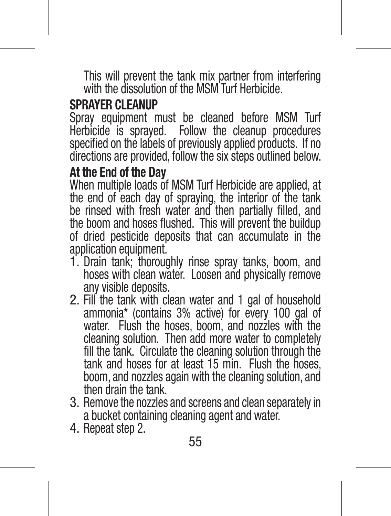This will prevent the tank mix partner from interfering with the dissolution of the MSM Turf Herbicide.

#### **SPRAYER CLEANUP**

Spray equipment must be cleaned before MSM Turf Herbicide is sprayed. Follow the cleanup procedures specified on the labels of previously applied products. If no directions are provided, follow the six steps outlined below.

### **At the End of the Day**

When multiple loads of MSM Turf Herbicide are applied, at the end of each day of spraying, the interior of the tank be rinsed with fresh water and then partially filled, and the boom and hoses flushed. This will prevent the buildup of dried pesticide deposits that can accumulate in the application equipment.

- 1. Drain tank; thoroughly rinse spray tanks, boom, and hoses with clean water. Loosen and physically remove
- 2. Fill the tank with clean water and 1 gal of household ammonia\* (contains 3% active) for every 100 gal of water. Flush the hoses, boom, and nozzles with the cleaning solution. Then add more water to completely fill the tank. Circulate the cleaning solution through the tank and hoses for at least 15 min. Flush the hoses, boom, and nozzles again with the cleaning solution, and
- 3. Remove the nozzles and screens and clean separately in a bucket containing cleaning agent and water. 4. Repeat step 2.
-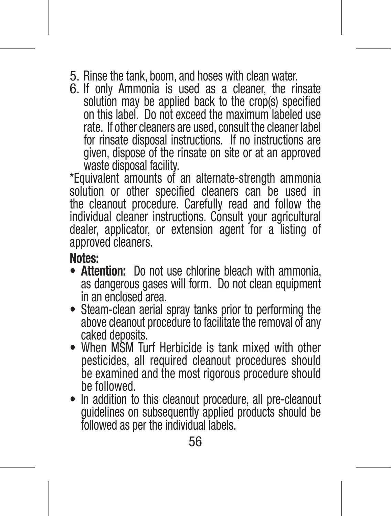- 5. Rinse the tank, boom, and hoses with clean water. 6. If only Ammonia is used as a cleaner, the rinsate
- solution may be applied back to the crop(s) specified on this label. Do not exceed the maximum labeled use rate. If other cleaners are used, consult the cleaner label for rinsate disposal instructions. If no instructions are given, dispose of the rinsate on site or at an approved waste disposal facility.

\*Equivalent amounts of an alternate-strength ammonia solution or other specified cleaners can be used in the cleanout procedure. Carefully read and follow the individual cleaner instructions. Consult your agricultural dealer, applicator, or extension agent for a listing of approved cleaners.

**Notes:**

- **Attention:** Do not use chlorine bleach with ammonia, as dangerous gases will form. Do not clean equipment in an enclosed area.
- Steam-clean aerial spray tanks prior to performing the above cleanout procedure to facilitate the removal of any caked deposits.
- When MSM Turf Herbicide is tank mixed with other pesticides, all required cleanout procedures should be examined and the most rigorous procedure should be followed.<br>• In addition to this cleanout procedure, all pre-cleanout
- quidelines on subsequently applied products should be followed as per the individual labels.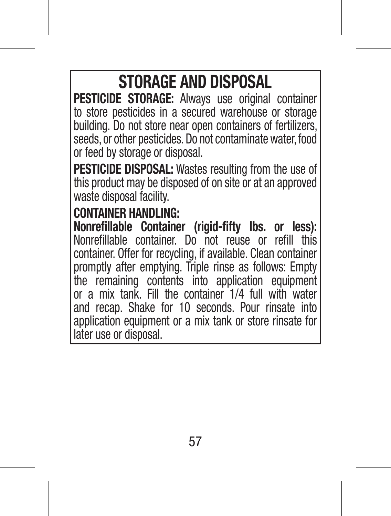## **STORAGE AND DISPOSAL**

**PESTICIDE STORAGE:** Always use original container to store pesticides in a secured warehouse or storage building. Do not store near open containers of fertilizers, seeds, or other pesticides. Do not contaminate water, food or feed by storage or disposal.

**PESTICIDE DISPOSAL:** Wastes resulting from the use of this product may be disposed of on site or at an approved waste disposal facility.

#### **CONTAINER HANDLING:**

**Nonrefillable Container (rigid-fifty Ibs. or less):** Nonrefillable container. Do not reuse or refill this container. Offer for recycling, if available. Clean container promptly after emptying. Triple rinse as follows: Empty the remaining contents into application equipment or a mix tank. Fill the container 1/4 full with water and recap. Shake for 10 seconds. Pour rinsate into application equipment or a mix tank or store rinsate for later use or disposal.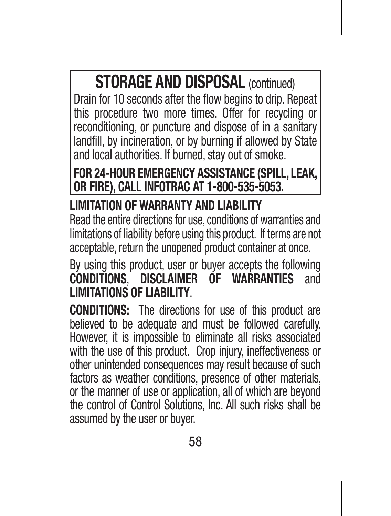### **STORAGE AND DISPOSAL** (continued)

Drain for 10 seconds after the flow begins to drip. Repeat this procedure two more times. Offer for recycling or reconditioning, or puncture and dispose of in a sanitary landfill, by incineration, or by burning if allowed by State and local authorities. If burned, stay out of smoke.

**FOR 24-HOUR EMERGENCY ASSISTANCE (SPILL, LEAK, OR FIRE), CALL INFOTRAC AT 1-800-535-5053.**

### **LIMITATION OF WARRANTY AND LIABILITY**

Read the entire directions for use, conditions of warranties and limitations of liability before using this product. If terms are not acceptable, return the unopened product container at once.

By using this product, user or buyer accepts the following **CONDITIONS**, **DISCLAIMER OF WARRANTIES** and **LIMITATIONS OF LIABILITY**.

**CONDITIONS:** The directions for use of this product are believed to be adequate and must be followed carefully. However, it is impossible to eliminate all risks associated with the use of this product. Crop injury, ineffectiveness or other unintended consequences may result because of such factors as weather conditions, presence of other materials, or the manner of use or application, all of which are beyond the control of Control Solutions, Inc. All such risks shall be assumed by the user or buyer.